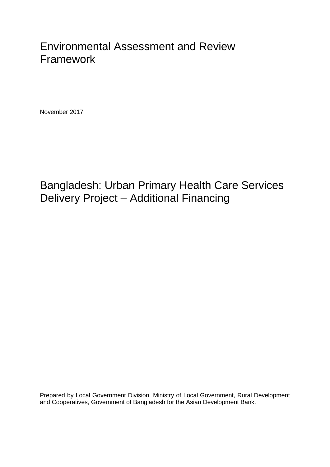November 2017

# Bangladesh: Urban Primary Health Care Services Delivery Project – Additional Financing

Prepared by Local Government Division, Ministry of Local Government, Rural Development and Cooperatives, Government of Bangladesh for the Asian Development Bank.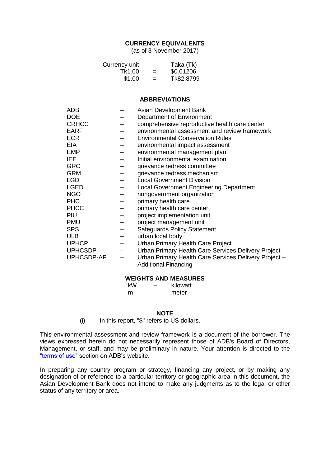## **CURRENCY EQUIVALENTS**

(as of 3 November 2017)

| Currency unit | -   | Taka (Tk) |
|---------------|-----|-----------|
| Tk1.00        | $=$ | \$0.01206 |
| \$1.00        | $=$ | Tk82.8799 |

#### **ABBREVIATIONS**

| <b>ADB</b>     | Asian Development Bank                                |
|----------------|-------------------------------------------------------|
| <b>DOE</b>     | Department of Environment                             |
| <b>CRHCC</b>   | comprehensive reproductive health care center         |
| <b>EARF</b>    | environmental assessment and review framework         |
| <b>ECR</b>     | <b>Environmental Conservation Rules</b>               |
| EIA.           | environmental impact assessment                       |
| <b>EMP</b>     | environmental management plan                         |
| IEE.           | Initial environmental examination                     |
| <b>GRC</b>     | grievance redress committee                           |
| <b>GRM</b>     | grievance redress mechanism                           |
| <b>LGD</b>     | <b>Local Government Division</b>                      |
| <b>LGED</b>    | <b>Local Government Engineering Department</b>        |
| <b>NGO</b>     | nongovernment organization                            |
| <b>PHC</b>     | primary health care                                   |
| <b>PHCC</b>    | primary health care center                            |
| PIU            | project implementation unit                           |
| <b>PMU</b>     | project management unit                               |
| <b>SPS</b>     | Safeguards Policy Statement                           |
| <b>ULB</b>     | urban local body                                      |
| <b>UPHCP</b>   | Urban Primary Health Care Project                     |
| <b>UPHCSDP</b> | Urban Primary Health Care Services Delivery Project   |
| UPHCSDP-AF     | Urban Primary Health Care Services Delivery Project - |
|                | <b>Additional Financing</b>                           |

#### **WEIGHTS AND MEASURES**

| kW | - | kilowatt |
|----|---|----------|
| m  | _ | meter    |

#### **NOTE**

(i) In this report, "\$" refers to US dollars.

This environmental assessment and review framework is a document of the borrower. The views expressed herein do not necessarily represent those of ADB's Board of Directors, Management, or staff, and may be preliminary in nature. Your attention is directed to the ["terms of use"](http://www.adb.org/terms-use) section on ADB's website.

In preparing any country program or strategy, financing any project, or by making any designation of or reference to a particular territory or geographic area in this document, the Asian Development Bank does not intend to make any judgments as to the legal or other status of any territory or area.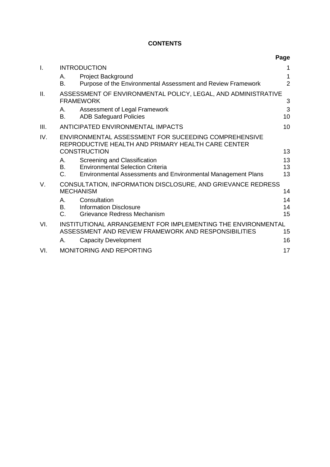# **CONTENTS**

|     |                         |                                                                                                                                                | Page                |
|-----|-------------------------|------------------------------------------------------------------------------------------------------------------------------------------------|---------------------|
| I.  |                         | <b>INTRODUCTION</b>                                                                                                                            |                     |
|     | А.<br>В.                | Project Background<br>Purpose of the Environmental Assessment and Review Framework                                                             | 1<br>$\overline{2}$ |
| II. |                         | ASSESSMENT OF ENVIRONMENTAL POLICY, LEGAL, AND ADMINISTRATIVE<br><b>FRAMEWORK</b>                                                              | 3                   |
|     | А.<br>В.                | Assessment of Legal Framework<br><b>ADB Safeguard Policies</b>                                                                                 | 3<br>10             |
| Ш.  |                         | <b>ANTICIPATED ENVIRONMENTAL IMPACTS</b>                                                                                                       | 10                  |
| IV. |                         | ENVIRONMENTAL ASSESSMENT FOR SUCEEDING COMPREHENSIVE<br>REPRODUCTIVE HEALTH AND PRIMARY HEALTH CARE CENTER<br><b>CONSTRUCTION</b>              | 13                  |
|     | А.<br>В.<br>$C_{\cdot}$ | Screening and Classification<br><b>Environmental Selection Criteria</b><br><b>Environmental Assessments and Environmental Management Plans</b> | 13<br>13<br>13      |
| V.  |                         | CONSULTATION, INFORMATION DISCLOSURE, AND GRIEVANCE REDRESS<br><b>MECHANISM</b>                                                                | 14                  |
|     | А.<br><b>B.</b><br>C.   | Consultation<br><b>Information Disclosure</b><br>Grievance Redress Mechanism                                                                   | 14<br>14<br>15      |
| VI. |                         | INSTITUTIONAL ARRANGEMENT FOR IMPLEMENTING THE ENVIRONMENTAL<br>ASSESSMENT AND REVIEW FRAMEWORK AND RESPONSIBILITIES                           | 15                  |
|     | А.                      | <b>Capacity Development</b>                                                                                                                    | 16                  |
| VI. |                         | <b>MONITORING AND REPORTING</b>                                                                                                                | 17                  |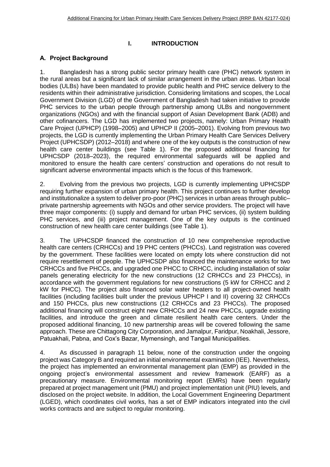## <span id="page-6-0"></span>**I. INTRODUCTION**

# <span id="page-6-1"></span>A. Project Background

1. Bangladesh has a strong public sector primary health care (PHC) network system in the rural areas but a significant lack of similar arrangement in the urban areas. Urban local bodies (ULBs) have been mandated to provide public health and PHC service delivery to the residents within their administrative jurisdiction. Considering limitations and scopes, the Local Government Division (LGD) of the Government of Bangladesh had taken initiative to provide PHC services to the urban people through partnership among ULBs and nongovernment organizations (NGOs) and with the financial support of Asian Development Bank (ADB) and other cofinancers. The LGD has implemented two projects, namely: Urban Primary Health Care Project (UPHCP) (1998–2005) and UPHCP II (2005–2001). Evolving from previous two projects, the LGD is currently implementing the Urban Primary Health Care Services Delivery Project (UPHCSDP) (2012–2018) and where one of the key outputs is the construction of new health care center buildings (see Table 1). For the proposed additional financing for UPHCSDP (2018–2023), the required environmental safeguards will be applied and monitored to ensure the health care centers' construction and operations do not result to significant adverse environmental impacts which is the focus of this framework.

2. Evolving from the previous two projects, LGD is currently implementing UPHCSDP requiring further expansion of urban primary health. This project continues to further develop and institutionalize a system to deliver pro-poor (PHC) services in urban areas through public– private partnership agreements with NGOs and other service providers. The project will have three major components: (i) supply and demand for urban PHC services, (ii) system building PHC services, and (iii) project management. One of the key outputs is the continued construction of new health care center buildings (see Table 1).

3. The UPHCSDP financed the construction of 10 new comprehensive reproductive health care centers (CRHCCs) and 19 PHC centers (PHCCs). Land registration was covered by the government. These facilities were located on empty lots where construction did not require resettlement of people. The UPHCSDP also financed the maintenance works for two CRHCCs and five PHCCs, and upgraded one PHCC to CRHCC, including installation of solar panels generating electricity for the new constructions (12 CRHCCs and 23 PHCCs), in accordance with the government regulations for new constructions (5 kW for CRHCC and 2 kW for PHCC). The project also financed solar water heaters to all project-owned health facilities (including facilities built under the previous UPHCP I and II) covering 32 CRHCCs and 150 PHCCs, plus new constructions (12 CRHCCs and 23 PHCCs). The proposed additional financing will construct eight new CRHCCs and 24 new PHCCs, upgrade existing facilities, and introduce the green and climate resilient health care centers. Under the proposed additional financing, 10 new partnership areas will be covered following the same approach. These are Chittagong City Corporation, and Jamalpur, Faridpur, Noakhali, Jessore, Patuakhali, Pabna, and Cox's Bazar, Mymensingh, and Tangail Municipalities.

4. As discussed in paragraph 11 below, none of the construction under the ongoing project was Category B and required an initial environmental examination (IEE). Nevertheless, the project has implemented an environmental management plan (EMP) as provided in the ongoing project's environmental assessment and review framework (EARF) as a precautionary measure. Environmental monitoring report (EMRs) have been regularly prepared at project management unit (PMU) and project implementation unit (PIU) levels, and disclosed on the project website. In addition, the Local Government Engineering Department (LGED), which coordinates civil works, has a set of EMP indicators integrated into the civil works contracts and are subject to regular monitoring.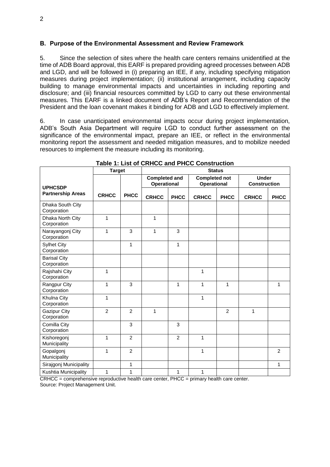#### <span id="page-7-0"></span>B. Purpose of the Environmental Assessment and Review Framework

5. Since the selection of sites where the health care centers remains unidentified at the time of ADB Board approval, this EARF is prepared providing agreed processes between ADB and LGD, and will be followed in (i) preparing an IEE, if any, including specifying mitigation measures during project implementation; (ii) institutional arrangement, including capacity building to manage environmental impacts and uncertainties in including reporting and disclosure; and (iii) financial resources committed by LGD to carry out these environmental measures. This EARF is a linked document of ADB's Report and Recommendation of the President and the loan covenant makes it binding for ADB and LGD to effectively implement.

6. In case unanticipated environmental impacts occur during project implementation, ADB's South Asia Department will require LGD to conduct further assessment on the significance of the environmental impact, prepare an IEE, or reflect in the environmental monitoring report the assessment and needed mitigation measures, and to mobilize needed resources to implement the measure including its monitoring.

|                                    | <b>Target</b>  |                | <b>Status</b>                              |                |                                            |                |                                     |                |
|------------------------------------|----------------|----------------|--------------------------------------------|----------------|--------------------------------------------|----------------|-------------------------------------|----------------|
| <b>UPHCSDP</b>                     |                |                | <b>Completed and</b><br><b>Operational</b> |                | <b>Completed not</b><br><b>Operational</b> |                | <b>Under</b><br><b>Construction</b> |                |
| <b>Partnership Areas</b>           | <b>CRHCC</b>   | <b>PHCC</b>    | <b>CRHCC</b>                               | <b>PHCC</b>    | <b>CRHCC</b>                               | <b>PHCC</b>    | <b>CRHCC</b>                        | <b>PHCC</b>    |
| Dhaka South City<br>Corporation    |                |                |                                            |                |                                            |                |                                     |                |
| Dhaka North City<br>Corporation    | 1              |                | $\mathbf{1}$                               |                |                                            |                |                                     |                |
| Narayangonj City<br>Corporation    | 1              | 3              | $\mathbf{1}$                               | 3              |                                            |                |                                     |                |
| <b>Sylhet City</b><br>Corporation  |                | $\mathbf{1}$   |                                            | $\mathbf{1}$   |                                            |                |                                     |                |
| <b>Barisal City</b><br>Corporation |                |                |                                            |                |                                            |                |                                     |                |
| Rajshahi City<br>Corporation       | 1              |                |                                            |                | 1                                          |                |                                     |                |
| Rangpur City<br>Corporation        | 1              | 3              |                                            | $\mathbf{1}$   | $\mathbf{1}$                               | 1              |                                     | 1              |
| Khulna City<br>Corporation         | 1              |                |                                            |                | 1                                          |                |                                     |                |
| <b>Gazipur City</b><br>Corporation | $\overline{2}$ | $\overline{2}$ | $\mathbf{1}$                               |                |                                            | $\overline{2}$ | 1                                   |                |
| Comilla City<br>Corporation        |                | 3              |                                            | 3              |                                            |                |                                     |                |
| Kishoregonj<br>Municipality        | 1              | $\overline{c}$ |                                            | $\overline{c}$ | $\mathbf{1}$                               |                |                                     |                |
| Gopalgonj<br>Municipality          | 1              | $\overline{2}$ |                                            |                | 1                                          |                |                                     | $\overline{2}$ |
| Sirajgonj Municipality             |                | $\mathbf{1}$   |                                            |                |                                            |                |                                     | 1              |
| Kushtia Municipality               | 1              | 1              |                                            | 1              | $\mathbf{1}$                               |                |                                     |                |

## **Table 1: List of CRHCC and PHCC Construction**

CRHCC = comprehensive reproductive health care center, PHCC = primary health care center. Source: Project Management Unit.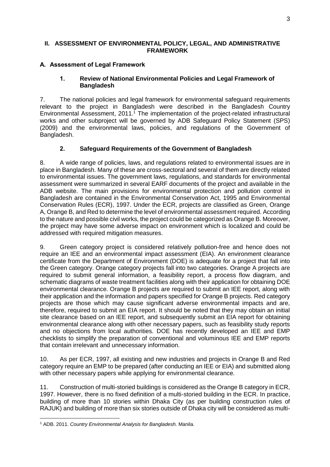## <span id="page-8-0"></span>**II. ASSESSMENT OF ENVIRONMENTAL POLICY, LEGAL, AND ADMINISTRATIVE FRAMEWORK**

## <span id="page-8-1"></span>A. Assessment of Legal Framework

## 1. **Review of National Environmental Policies and Legal Framework of Bangladesh**

7. The national policies and legal framework for environmental safeguard requirements relevant to the project in Bangladesh were described in the Bangladesh Country Environmental Assessment, 2011. <sup>1</sup> The implementation of the project-related infrastructural works and other subproject will be governed by ADB Safeguard Policy Statement (SPS) (2009) and the environmental laws, policies, and regulations of the Government of Bangladesh.

# 2. **Safeguard Requirements of the Government of Bangladesh**

8. A wide range of policies, laws, and regulations related to environmental issues are in place in Bangladesh. Many of these are cross-sectoral and several of them are directly related to environmental issues. The government laws, regulations, and standards for environmental assessment were summarized in several EARF documents of the project and available in the ADB website. The main provisions for environmental protection and pollution control in Bangladesh are contained in the Environmental Conservation Act, 1995 and Environmental Conservation Rules (ECR), 1997. Under the ECR, projects are classified as Green, Orange A, Orange B, and Red to determine the level of environmental assessment required. According to the nature and possible civil works, the project could be categorized as Orange B. Moreover, the project may have some adverse impact on environment which is localized and could be addressed with required mitigation measures.

9. Green category project is considered relatively pollution-free and hence does not require an IEE and an environmental impact assessment (EIA). An environment clearance certificate from the Department of Environment (DOE) is adequate for a project that fall into the Green category. Orange category projects fall into two categories. Orange A projects are required to submit general information, a feasibility report, a process flow diagram, and schematic diagrams of waste treatment facilities along with their application for obtaining DOE environmental clearance. Orange B projects are required to submit an IEE report, along with their application and the information and papers specified for Orange B projects. Red category projects are those which may cause significant adverse environmental impacts and are, therefore, required to submit an EIA report. It should be noted that they may obtain an initial site clearance based on an IEE report, and subsequently submit an EIA report for obtaining environmental clearance along with other necessary papers, such as feasibility study reports and no objections from local authorities. DOE has recently developed an IEE and EMP checklists to simplify the preparation of conventional and voluminous IEE and EMP reports that contain irrelevant and unnecessary information.

10. As per ECR, 1997, all existing and new industries and projects in Orange B and Red category require an EMP to be prepared (after conducting an IEE or EIA) and submitted along with other necessary papers while applying for environmental clearance.

11. Construction of multi-storied buildings is considered as the Orange B category in ECR, 1997. However, there is no fixed definition of a multi-storied building in the ECR. In practice, building of more than 10 stories within Dhaka City (as per building construction rules of RAJUK) and building of more than six stories outside of Dhaka city will be considered as multi-

**<sup>.</sup>** <sup>1</sup> ADB. 2011. *Country Environmental Analysis for Bangladesh.* Manila.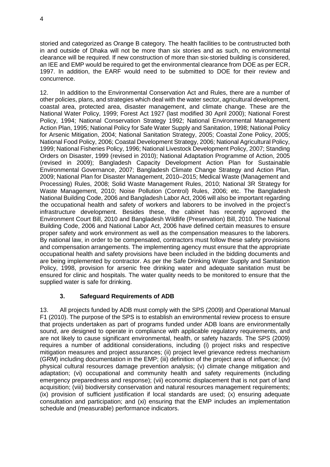storied and categorized as Orange B category. The health facilities to be contrustructed both in and outside of Dhaka will not be more than six stories and as such, no environmental clearance will be required. If new construction of more than six-storied building is considered, an IEE and EMP would be required to get the environmental clearance from DOE as per ECR, 1997. In addition, the EARF would need to be submitted to DOE for their review and concurrence.

12. In addition to the Environmental Conservation Act and Rules, there are a number of other policies, plans, and strategies which deal with the water sector, agricultural development, coastal area, protected area, disaster management, and climate change. These are the National Water Policy, 1999; Forest Act 1927 (last modified 30 April 2000); National Forest Policy, 1994; National Conservation Strategy 1992; National Environmental Management Action Plan, 1995; National Policy for Safe Water Supply and Sanitation, 1998; National Policy for Arsenic Mitigation, 2004; National Sanitation Strategy, 2005; Coastal Zone Policy, 2005; National Food Policy, 2006; Coastal Development Strategy, 2006; National Agricultural Policy, 1999; National Fisheries Policy, 1996; National Livestock Development Policy, 2007; Standing Orders on Disaster, 1999 (revised in 2010); National Adaptation Programme of Action, 2005 (revised in 2009); Bangladesh Capacity Development Action Plan for Sustainable Environmental Governance, 2007; Bangladesh Climate Change Strategy and Action Plan, 2009; National Plan for Disaster Management, 2010–2015; Medical Waste (Management and Processing) Rules, 2008; Solid Waste Management Rules, 2010; National 3R Strategy for Waste Management, 2010; Noise Pollution (Control) Rules, 2006; etc. The Bangladesh National Building Code, 2006 and Bangladesh Labor Act, 2006 will also be important regarding the occupational health and safety of workers and laborers to be involved in the project's infrastructure development. Besides these, the cabinet has recently approved the Environment Court Bill, 2010 and Bangladesh Wildlife (Preservation) Bill, 2010. The National Building Code, 2006 and National Labor Act, 2006 have defined certain measures to ensure proper safety and work environment as well as the compensation measures to the laborers. By national law, in order to be compensated, contractors must follow these safety provisions and compensation arrangements. The implementing agency must ensure that the appropriate occupational health and safety provisions have been included in the bidding documents and are being implemented by contractor. As per the Safe Drinking Water Supply and Sanitation Policy, 1998, provision for arsenic free drinking water and adequate sanitation must be ensured for clinic and hospitals. The water quality needs to be monitored to ensure that the supplied water is safe for drinking.

# 3. **Safeguard Requirements of ADB**

13. All projects funded by ADB must comply with the SPS (2009) and Operational Manual F1 (2010). The purpose of the SPS is to establish an environmental review process to ensure that projects undertaken as part of programs funded under ADB loans are environmentally sound, are designed to operate in compliance with applicable regulatory requirements, and are not likely to cause significant environmental, health, or safety hazards. The SPS (2009) requires a number of additional considerations, including (i) project risks and respective mitigation measures and project assurances; (ii) project level grievance redress mechanism (GRM) including documentation in the EMP; (iii) definition of the project area of influence; (iv) physical cultural resources damage prevention analysis; (v) climate change mitigation and adaptation; (vi) occupational and community health and safety requirements (including emergency preparedness and response); (vii) economic displacement that is not part of land acquisition; (viii) biodiversity conservation and natural resources management requirements; (ix) provision of sufficient justification if local standards are used; (x) ensuring adequate consultation and participation; and (xi) ensuring that the EMP includes an implementation schedule and (measurable) performance indicators.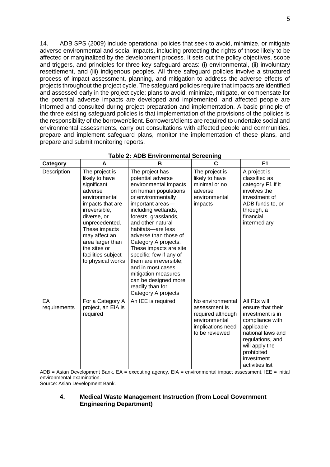14. ADB SPS (2009) include operational policies that seek to avoid, minimize, or mitigate adverse environmental and social impacts, including protecting the rights of those likely to be affected or marginalized by the development process. It sets out the policy objectives, scope and triggers, and principles for three key safeguard areas: (i) environmental, (ii) involuntary resettlement, and (iii) indigenous peoples. All three safeguard policies involve a structured process of impact assessment, planning, and mitigation to address the adverse effects of projects throughout the project cycle. The safeguard policies require that impacts are identified and assessed early in the project cycle; plans to avoid, minimize, mitigate, or compensate for the potential adverse impacts are developed and implemented; and affected people are informed and consulted during project preparation and implementation. A basic principle of the three existing safeguard policies is that implementation of the provisions of the policies is the responsibility of the borrower/client. Borrowers/clients are required to undertake social and environmental assessments, carry out consultations with affected people and communities, prepare and implement safeguard plans, monitor the implementation of these plans, and prepare and submit monitoring reports.

| <b>Category</b>    | A                                                                                                                                                                                                                                                                  | В                                                                                                                                                                                                                                                                                                                                                                                                                                                                       | C                                                                                                              | F1                                                                                                                                                                                               |
|--------------------|--------------------------------------------------------------------------------------------------------------------------------------------------------------------------------------------------------------------------------------------------------------------|-------------------------------------------------------------------------------------------------------------------------------------------------------------------------------------------------------------------------------------------------------------------------------------------------------------------------------------------------------------------------------------------------------------------------------------------------------------------------|----------------------------------------------------------------------------------------------------------------|--------------------------------------------------------------------------------------------------------------------------------------------------------------------------------------------------|
| Description        | The project is<br>likely to have<br>significant<br>adverse<br>environmental<br>impacts that are<br>irreversible,<br>diverse, or<br>unprecedented.<br>These impacts<br>may affect an<br>area larger than<br>the sites or<br>facilities subject<br>to physical works | The project has<br>potential adverse<br>environmental impacts<br>on human populations<br>or environmentally<br>important areas-<br>including wetlands,<br>forests, grasslands,<br>and other natural<br>habitats-are less<br>adverse than those of<br>Category A projects.<br>These impacts are site<br>specific; few if any of<br>them are irreversible;<br>and in most cases<br>mitigation measures<br>can be designed more<br>readily than for<br>Category A projects | The project is<br>likely to have<br>minimal or no<br>adverse<br>environmental<br>impacts                       | A project is<br>classified as<br>category F1 if it<br>involves the<br>investment of<br>ADB funds to, or<br>through, a<br>financial<br>intermediary                                               |
| EА<br>requirements | For a Category A<br>project, an EIA is<br>required                                                                                                                                                                                                                 | An IEE is required                                                                                                                                                                                                                                                                                                                                                                                                                                                      | No environmental<br>assessment is<br>required although<br>environmental<br>implications need<br>to be reviewed | All F1s will<br>ensure that their<br>investment is in<br>compliance with<br>applicable<br>national laws and<br>regulations, and<br>will apply the<br>prohibited<br>investment<br>activities list |

#### **Table 2: ADB Environmental Screening**

 $ADB = Asian Development Bank, EA = executing agency, EIA = environmental impact assessment, IEE = initial$ environmental examination.

Source: Asian Development Bank.

#### 4. **Medical Waste Management Instruction (from Local Government Engineering Department)**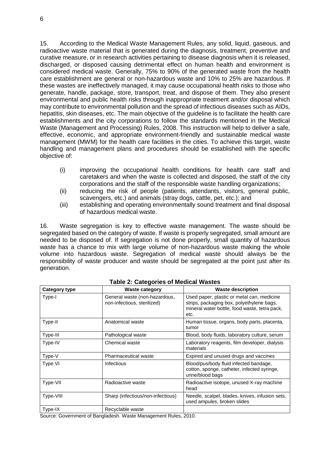15. According to the Medical Waste Management Rules, any solid, liquid, gaseous, and radioactive waste material that is generated during the diagnosis, treatment, preventive and curative measure, or in research activities pertaining to disease diagnosis when it is released, discharged, or disposed causing detrimental effect on human health and environment is considered medical waste. Generally, 75% to 90% of the generated waste from the health care establishment are general or non-hazardous waste and 10% to 25% are hazardous. If these wastes are ineffectively managed, it may cause occupational health risks to those who generate, handle, package, store, transport, treat, and dispose of them. They also present environmental and public health risks through inappropriate treatment and/or disposal which may contribute to environmental pollution and the spread of infectious diseases such as AIDs, hepatitis, skin diseases, etc. The main objective of the guideline is to facilitate the health care establishments and the city corporations to follow the standards mentioned in the Medical Waste (Management and Processing) Rules, 2008. This instruction will help to deliver a safe, effective, economic, and appropriate environment-friendly and sustainable medical waste management (MWM) for the health care facilities in the cities. To achieve this target, waste handling and management plans and procedures should be established with the specific objective of:

- (i) improving the occupational health conditions for health care staff and caretakers and when the waste is collected and disposed, the staff of the city corporations and the staff of the responsible waste handling organizations;
- (ii) reducing the risk of people (patients, attendants, visitors, general public, scavengers, etc.) and animals (stray dogs, cattle, pet, etc.); and
- (iii) establishing and operating environmentally sound treatment and final disposal of hazardous medical waste.

16. Waste segregation is key to effective waste management. The waste should be segregated based on the category of waste. If waste is properly segregated, small amount are needed to be disposed of. If segregation is not done properly, small quantity of hazardous waste has a chance to mix with large volume of non-hazardous waste making the whole volume into hazardous waste. Segregation of medical waste should always be the responsibility of waste producer and waste should be segregated at the point just after its generation.

| Category type | <b>Waste category</b>                                        | <b>Waste description</b>                                                                                                                         |
|---------------|--------------------------------------------------------------|--------------------------------------------------------------------------------------------------------------------------------------------------|
| Type-I        | General waste (non-hazardous,<br>non-infectious, sterilized) | Used paper, plastic or metal can, medicine<br>strips, packaging box, polyethylene bags,<br>mineral water bottle, food waste, tetra pack,<br>etc. |
| Type-II       | Anatomical waste                                             | Human tissue, organs, body parts, placenta,<br>tumor                                                                                             |
| Type-III      | Pathological waste                                           | Blood, body fluids, laboratory culture, serum                                                                                                    |
| Type-IV       | Chemical waste                                               | Laboratory reagents, film developer, dialysis<br>materials                                                                                       |
| Type-V        | Pharmaceutical waste                                         | Expired and unused drugs and vaccines                                                                                                            |
| Type VI       | Infectious                                                   | Blood/pus/body fluid infected bandage,<br>cotton, sponge, catheter, infected syringe,<br>urine/blood bags                                        |
| Type-VII      | Radioactive waste                                            | Radioactive isotope, unused X-ray machine<br>head                                                                                                |
| Type-VIII     | Sharp (infectious/non-infectious)                            | Needle, scalpel, blades, knives, infusion sets,<br>used ampules, broken slides                                                                   |
| Type-IX       | Recyclable waste                                             |                                                                                                                                                  |

#### **Table 2: Categories of Medical Wastes**

Source: Government of Bangladesh. Waste Management Rules, 2010.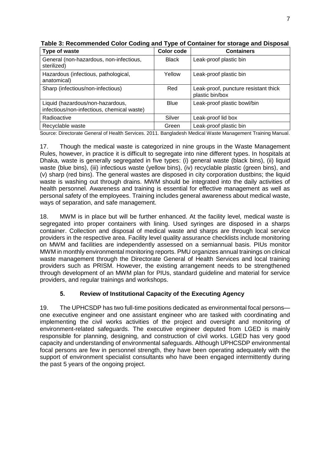| Type of waste                                                                  | Color code   | <b>Containers</b>                                       |
|--------------------------------------------------------------------------------|--------------|---------------------------------------------------------|
| General (non-hazardous, non-infectious,<br>sterilized)                         | <b>Black</b> | Leak-proof plastic bin                                  |
| Hazardous (infectious, pathological,<br>anatomical)                            | Yellow       | Leak-proof plastic bin                                  |
| Sharp (infectious/non-infectious)                                              | Red          | Leak-proof, puncture resistant thick<br>plastic bin/box |
| Liquid (hazardous/non-hazardous,<br>infectious/non-infectious, chemical waste) | <b>Blue</b>  | Leak-proof plastic bowl/bin                             |
| Radioactive                                                                    | Silver       | Leak-proof lid box                                      |
| Recyclable waste                                                               | Green        | Leak-proof plastic bin                                  |

**Table 3: Recommended Color Coding and Type of Container for storage and Disposal**

Source: Directorate General of Health Services. 2011. Bangladesh Medical Waste Management Training Manual.

17. Though the medical waste is categorized in nine groups in the Waste Management Rules, however, in practice it is difficult to segregate into nine different types. In hospitals at Dhaka, waste is generally segregated in five types: (i) general waste (black bins), (ii) liquid waste (blue bins), (iii) infectious waste (yellow bins), (iv) recyclable plastic (green bins), and (v) sharp (red bins). The general wastes are disposed in city corporation dustbins; the liquid waste is washing out through drains. MWM should be integrated into the daily activities of health personnel. Awareness and training is essential for effective management as well as personal safety of the employees. Training includes general awareness about medical waste, ways of separation, and safe management.

18. MWM is in place but will be further enhanced. At the facility level, medical waste is segregated into proper containers with lining. Used syringes are disposed in a sharps container. Collection and disposal of medical waste and sharps are through local service providers in the respective area. Facility level quality assurance checklists include monitoring on MWM and facilities are independently assessed on a semiannual basis. PIUs monitor MWM in monthly environmental monitoring reports. PMU organizes annual trainings on clinical waste management through the Directorate General of Health Services and local training providers such as PRISM. However, the existing arrangement needs to be strengthened through development of an MWM plan for PIUs, standard guideline and material for service providers, and regular trainings and workshops.

# 5. **Review of Institutional Capacity of the Executing Agency**

19. The UPHCSDP has two full-time positions dedicated as environmental focal persons one executive engineer and one assistant engineer who are tasked with coordinating and implementing the civil works activities of the project and oversight and monitoring of environment-related safeguards. The executive engineer deputed from LGED is mainly responsible for planning, designing, and construction of civil works. LGED has very good capacity and understanding of environmental safeguards. Although UPHCSDP environmental focal persons are few in personnel strength, they have been operating adequately with the support of environment specialist consultants who have been engaged intermittently during the past 5 years of the ongoing project.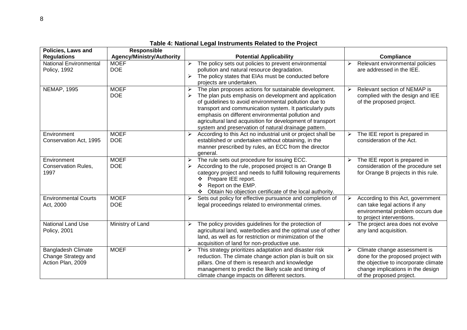| <b>Policies, Laws and</b>                                             | <b>Responsible</b>               |                                                                                                                                                                                                                                                                                                                                                                                                                      |                                                                                                                                                                                                      |
|-----------------------------------------------------------------------|----------------------------------|----------------------------------------------------------------------------------------------------------------------------------------------------------------------------------------------------------------------------------------------------------------------------------------------------------------------------------------------------------------------------------------------------------------------|------------------------------------------------------------------------------------------------------------------------------------------------------------------------------------------------------|
| <b>Regulations</b>                                                    | <b>Agency/Ministry/Authority</b> | <b>Potential Applicability</b>                                                                                                                                                                                                                                                                                                                                                                                       | Compliance                                                                                                                                                                                           |
| <b>National Environmental</b><br><b>Policy, 1992</b>                  | <b>MOEF</b><br><b>DOE</b>        | The policy sets out policies to prevent environmental<br>pollution and natural resource degradation.<br>The policy states that EIAs must be conducted before<br>projects are undertaken.                                                                                                                                                                                                                             | Relevant environmental policies<br>➤<br>are addressed in the IEE.                                                                                                                                    |
| <b>NEMAP, 1995</b>                                                    | <b>MOEF</b><br><b>DOE</b>        | The plan proposes actions for sustainable development.<br>➤<br>The plan puts emphasis on development and application<br>of guidelines to avoid environmental pollution due to<br>transport and communication system. It particularly puts<br>emphasis on different environmental pollution and<br>agricultural land acquisition for development of transport<br>system and preservation of natural drainage pattern. | Relevant section of NEMAP is<br>$\blacktriangleright$<br>complied with the design and IEE<br>of the proposed project.                                                                                |
| Environment<br>Conservation Act, 1995                                 | <b>MOEF</b><br><b>DOE</b>        | According to this Act no industrial unit or project shall be<br>established or undertaken without obtaining, in the<br>manner prescribed by rules, an ECC from the director<br>general.                                                                                                                                                                                                                              | The IEE report is prepared in<br>➤<br>consideration of the Act.                                                                                                                                      |
| Environment<br><b>Conservation Rules,</b><br>1997                     | <b>MOEF</b><br><b>DOE</b>        | The rule sets out procedure for issuing ECC.<br>➤<br>According to the rule, proposed project is an Orange B<br>➤<br>category project and needs to fulfill following requirements<br>Prepare IEE report.<br>❖<br>Report on the EMP.<br>❖<br>Obtain No objection certificate of the local authority.                                                                                                                   | The IEE report is prepared in<br>➤<br>consideration of the procedure set<br>for Orange B projects in this rule.                                                                                      |
| <b>Environmental Courts</b><br>Act, 2000                              | <b>MOEF</b><br><b>DOE</b>        | Sets out policy for effective pursuance and completion of<br>➤<br>legal proceedings related to environmental crimes.                                                                                                                                                                                                                                                                                                 | According to this Act, government<br>≻<br>can take legal actions if any<br>environmental problem occurs due<br>to project interventions.                                                             |
| National Land Use<br><b>Policy, 2001</b>                              | Ministry of Land                 | The policy provides guidelines for the protection of<br>➤<br>agricultural land, waterbodies and the optimal use of other<br>land, as well as for restriction or minimization of the<br>acquisition of land for non-productive use.                                                                                                                                                                                   | The project area does not evolve<br>$\blacktriangleright$<br>any land acquisition.                                                                                                                   |
| <b>Bangladesh Climate</b><br>Change Strategy and<br>Action Plan, 2009 | <b>MOEF</b>                      | This strategy prioritizes adaptation and disaster risk<br>➤<br>reduction. The climate change action plan is built on six<br>pillars. One of them is research and knowledge<br>management to predict the likely scale and timing of<br>climate change impacts on different sectors.                                                                                                                                   | Climate change assessment is<br>$\blacktriangleright$<br>done for the proposed project with<br>the objective to incorporate climate<br>change implications in the design<br>of the proposed project. |

**Table 4: National Legal Instruments Related to the Project**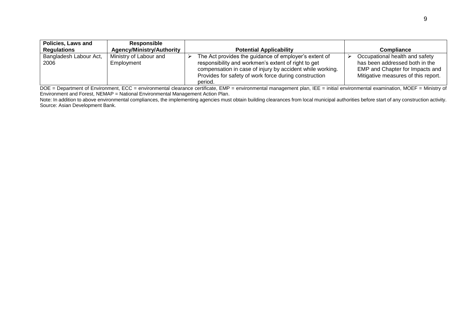|                                                                                                                                                                                                                                                                      | <b>Compliance</b>                                                                                                                          |
|----------------------------------------------------------------------------------------------------------------------------------------------------------------------------------------------------------------------------------------------------------------------|--------------------------------------------------------------------------------------------------------------------------------------------|
|                                                                                                                                                                                                                                                                      | Occupational health and safety<br>has been addressed both in the<br>EMP and Chapter for Impacts and<br>Mitigative measures of this report. |
| <b>Potential Applicability</b><br>The Act provides the guidance of employer's extent of<br>responsibility and workmen's extent of right to get<br>compensation in case of injury by accident while working.<br>Provides for safety of work force during construction |                                                                                                                                            |

DOE = Department of Environment, ECC = environmental clearance certificate, EMP = environmental management plan, IEE = initial environmental examination, MOEF = Ministry of Environment and Forest, NEMAP = National Environmental Management Action Plan.

Note: In addition to above environmental compliances, the implementing agencies must obtain building clearances from local municipal authorities before start of any construction activity. Source: Asian Development Bank.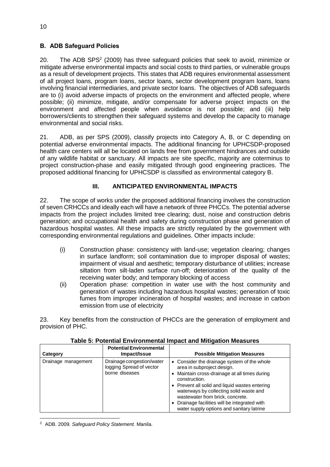# <span id="page-15-0"></span>B. ADB Safeguard Policies

20. The ADB SPS<sup>2</sup> (2009) has three safeguard policies that seek to avoid, minimize or mitigate adverse environmental impacts and social costs to third parties, or vulnerable groups as a result of development projects. This states that ADB requires environmental assessment of all project loans, program loans, sector loans, sector development program loans, loans involving financial intermediaries, and private sector loans. The objectives of ADB safeguards are to (i) avoid adverse impacts of projects on the environment and affected people, where possible; (ii) minimize, mitigate, and/or compensate for adverse project impacts on the environment and affected people when avoidance is not possible; and (iii) help borrowers/clients to strengthen their safeguard systems and develop the capacity to manage environmental and social risks.

21. ADB, as per SPS (2009), classify projects into Category A, B, or C depending on potential adverse environmental impacts. The additional financing for UPHCSDP-proposed health care centers will all be located on lands free from government hindrances and outside of any wildlife habitat or sanctuary. All impacts are site specific, majority are coterminus to project construction-phase and easily mitigated through good engineering practices. The proposed additional financing for UPHCSDP is classified as environmental category B.

# **III. ANTICIPATED ENVIRONMENTAL IMPACTS**

<span id="page-15-1"></span>22. The scope of works under the proposed additional financing involves the construction of seven CRHCCs and ideally each will have a network of three PHCCs. The potential adverse impacts from the project includes limited tree clearing; dust, noise and construction debris generation; and occupational health and safety during construction phase and generation of hazardous hospital wastes. All these impacts are strictly regulated by the government with corresponding environmental regulations and guidelines. Other impacts include:

- (i) Construction phase: consistency with land-use; vegetation clearing; changes in surface landform; soil contamination due to improper disposal of wastes; impairment of visual and aesthetic; temporary disturbance of utilities; increase siltation from silt-laden surface run-off; deterioration of the quality of the receiving water body; and temporary blocking of access
- (ii) Operation phase: competition in water use with the host community and generation of wastes including hazardous hospital wastes; generation of toxic fumes from improper incineration of hospital wastes; and increase in carbon emission from use of electricity

23. Key benefits from the construction of PHCCs are the generation of employment and provision of PHC.

| Category            | <b>Potential Environmental</b><br>Impact/Issue                          | <b>Possible Mitigation Measures</b>                                                                                                                                                                                                                                                                                                                                        |
|---------------------|-------------------------------------------------------------------------|----------------------------------------------------------------------------------------------------------------------------------------------------------------------------------------------------------------------------------------------------------------------------------------------------------------------------------------------------------------------------|
| Drainage management | Drainage congestion/water<br>logging Spread of vector<br>borne diseases | • Consider the drainage system of the whole<br>area in subproject design.<br>• Maintain cross-drainage at all times during<br>construction.<br>• Prevent all solid and liquid wastes entering<br>waterways by collecting solid waste and<br>wastewater from brick, concrete.<br>• Drainage facilities will be integrated with<br>water supply options and sanitary latrine |

**Table 5: Potential Environmental Impact and Mitigation Measures**

**.** <sup>2</sup> ADB. 2009. *Safeguard Policy Statement.* Manila.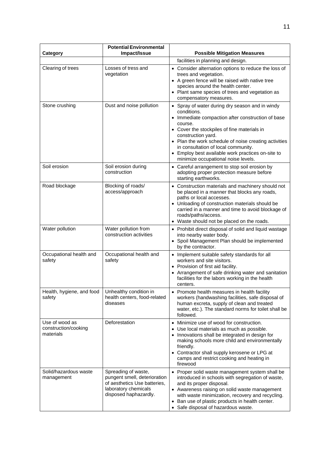|                                                              | <b>Potential Environmental</b>                                                                                                       |                                                                                                                                                                                                                                                                                                                                                                                                 |
|--------------------------------------------------------------|--------------------------------------------------------------------------------------------------------------------------------------|-------------------------------------------------------------------------------------------------------------------------------------------------------------------------------------------------------------------------------------------------------------------------------------------------------------------------------------------------------------------------------------------------|
| Category                                                     | Impact/Issue                                                                                                                         | <b>Possible Mitigation Measures</b>                                                                                                                                                                                                                                                                                                                                                             |
|                                                              |                                                                                                                                      | facilities in planning and design.                                                                                                                                                                                                                                                                                                                                                              |
| Clearing of trees                                            | Losses of tress and<br>vegetation                                                                                                    | • Consider alternation options to reduce the loss of<br>trees and vegetation.<br>• A green fence will be raised with native tree<br>species around the health center.<br>• Plant same species of trees and vegetation as<br>compensatory measures.                                                                                                                                              |
| Stone crushing                                               | Dust and noise pollution                                                                                                             | • Spray of water during dry season and in windy<br>conditions.<br>• Immediate compaction after construction of base<br>course.<br>• Cover the stockpiles of fine materials in<br>construction yard.<br>• Plan the work schedule of noise creating activities<br>in consultation of local community.<br>• Employ best available work practices on-site to<br>minimize occupational noise levels. |
| Soil erosion                                                 | Soil erosion during<br>construction                                                                                                  | • Careful arrangement to stop soil erosion by<br>adopting proper protection measure before<br>starting earthworks.                                                                                                                                                                                                                                                                              |
| Road blockage                                                | Blocking of roads/<br>access/approach                                                                                                | Construction materials and machinery should not<br>be placed in a manner that blocks any roads,<br>paths or local accesses.<br>• Unloading of construction materials should be<br>carried in a manner and time to avoid blockage of<br>roads/paths/access.<br>• Waste should not be placed on the roads.                                                                                        |
| Water pollution                                              | Water pollution from<br>construction activities                                                                                      | • Prohibit direct disposal of solid and liquid wastage<br>into nearby water body.<br>• Spoil Management Plan should be implemented<br>by the contractor.                                                                                                                                                                                                                                        |
| Occupational health and<br>safety                            | Occupational health and<br>safety                                                                                                    | • Implement suitable safety standards for all<br>workers and site visitors.<br>• Provision of first aid facility.<br>• Arrangement of safe drinking water and sanitation<br>facilities for the labors working in the health<br>centers.                                                                                                                                                         |
| Health, hygiene, and food   Unhealthy condition in<br>safetv | health centers, food-related<br>diseases                                                                                             | Promote health measures in health facility<br>workers (handwashing facilities, safe disposal of<br>human excreta, supply of clean and treated<br>water, etc.). The standard norms for toilet shall be<br>followed.                                                                                                                                                                              |
| Use of wood as<br>construction/cooking<br>materials          | Deforestation                                                                                                                        | Minimize use of wood for construction.<br>• Use local materials as much as possible.<br>• Innovations shall be integrated in design for<br>making schools more child and environmentally<br>friendly.<br>• Contractor shall supply kerosene or LPG at<br>camps and restrict cooking and heating in<br>firewood                                                                                  |
| Solid/hazardous waste<br>management                          | Spreading of waste,<br>pungent smell, deterioration<br>of aesthetics Use batteries,<br>laboratory chemicals<br>disposed haphazardly. | • Proper solid waste management system shall be<br>introduced in schools with segregation of waste,<br>and its proper disposal.<br>• Awareness raising on solid waste management<br>with waste minimization, recovery and recycling.<br>Ban use of plastic products in health center.<br>Safe disposal of hazardous waste.<br>$\bullet$                                                         |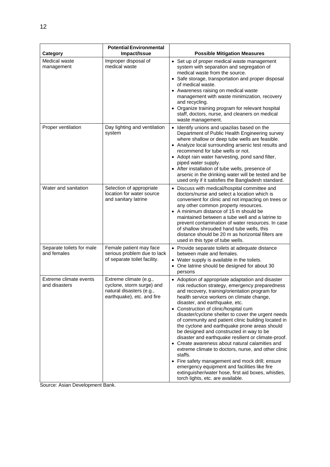| Category                                 | <b>Potential Environmental</b><br>Impact/Issue                                                                | <b>Possible Mitigation Measures</b>                                                                                                                                                                                                                                                                                                                                                                                                                                                                                                                                                                                                                                                                                                                                                                                                                                 |
|------------------------------------------|---------------------------------------------------------------------------------------------------------------|---------------------------------------------------------------------------------------------------------------------------------------------------------------------------------------------------------------------------------------------------------------------------------------------------------------------------------------------------------------------------------------------------------------------------------------------------------------------------------------------------------------------------------------------------------------------------------------------------------------------------------------------------------------------------------------------------------------------------------------------------------------------------------------------------------------------------------------------------------------------|
| Medical waste<br>management              | Improper disposal of<br>medical waste                                                                         | • Set up of proper medical waste management<br>system with separation and segregation of<br>medical waste from the source.                                                                                                                                                                                                                                                                                                                                                                                                                                                                                                                                                                                                                                                                                                                                          |
|                                          |                                                                                                               | • Safe storage, transportation and proper disposal<br>of medical waste.                                                                                                                                                                                                                                                                                                                                                                                                                                                                                                                                                                                                                                                                                                                                                                                             |
|                                          |                                                                                                               | • Awareness raising on medical waste<br>management with waste minimization, recovery<br>and recycling.<br>• Organize training program for relevant hospital<br>staff, doctors, nurse, and cleaners on medical<br>waste management.                                                                                                                                                                                                                                                                                                                                                                                                                                                                                                                                                                                                                                  |
| Proper ventilation                       | Day lighting and ventilation<br>system                                                                        | Identify unions and upazilas based on the<br>Department of Public Health Engineering survey<br>where shallow or deep tube wells are feasible.<br>• Analyze local surrounding arsenic test results and<br>recommend for tube wells or not.<br>• Adopt rain water harvesting, pond sand filter,<br>piped water supply.<br>• After installation of tube wells, presence of<br>arsenic in the drinking water will be tested and be<br>used only if it satisfies the Bangladesh standard.                                                                                                                                                                                                                                                                                                                                                                                |
| Water and sanitation                     | Selection of appropriate<br>location for water source<br>and sanitary latrine                                 | • Discuss with medical/hospital committee and<br>doctors/nurse and select a location which is<br>convenient for clinic and not impacting on trees or<br>any other common property resources.<br>• A minimum distance of 15 m should be<br>maintained between a tube well and a latrine to<br>prevent contamination of water resources. In case<br>of shallow shrouded hand tube wells, this<br>distance should be 20 m as horizontal filters are<br>used in this type of tube wells.                                                                                                                                                                                                                                                                                                                                                                                |
| Separate toilets for male<br>and females | Female patient may face<br>serious problem due to lack<br>of separate toilet facility.                        | • Provide separate toilets at adequate distance<br>between male and females.<br>• Water supply is available in the toilets.<br>• One latrine should be designed for about 30<br>persons                                                                                                                                                                                                                                                                                                                                                                                                                                                                                                                                                                                                                                                                             |
| Extreme climate events<br>and disasters  | Extreme climate (e.g.,<br>cyclone, storm surge) and<br>natural disasters (e.g.,<br>earthquake), etc. and fire | • Adoption of appropriate adaptation and disaster<br>risk reduction strategy, emergency preparedness<br>and recovery, training/orientation program for<br>health service workers on climate change,<br>disaster, and earthquake, etc.<br>• Construction of clinic/hospital cum<br>disaster/cyclone shelter to cover the urgent needs<br>of community and patient clinic building located in<br>the cyclone and earthquake prone areas should<br>be designed and constructed in way to be<br>disaster and earthquake resilient or climate-proof.<br>• Create awareness about natural calamities and<br>extreme climate to doctors, nurse, and other clinic<br>staffs.<br>• Fire safety management and mock drill; ensure<br>emergency equipment and facilities like fire<br>extinguisher/water hose, first aid boxes, whistles,<br>torch lights, etc. are available. |

Source: Asian Development Bank.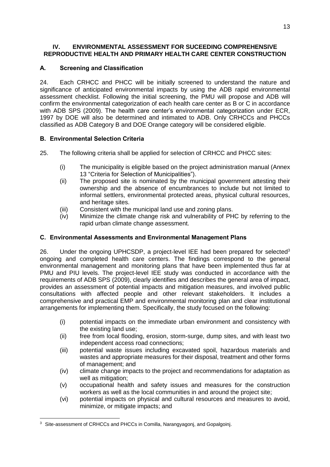## <span id="page-18-0"></span>**IV. ENVIRONMENTAL ASSESSMENT FOR SUCEEDING COMPREHENSIVE REPRODUCTIVE HEALTH AND PRIMARY HEALTH CARE CENTER CONSTRUCTION**

# <span id="page-18-1"></span>A. Screening and Classification

24. Each CRHCC and PHCC will be initially screened to understand the nature and significance of anticipated environmental impacts by using the ADB rapid environmental assessment checklist. Following the initial screening, the PMU will propose and ADB will confirm the environmental categorization of each health care center as B or C in accordance with ADB SPS (2009). The health care center's environmental categorization under ECR, 1997 by DOE will also be determined and intimated to ADB. Only CRHCCs and PHCCs classified as ADB Category B and DOE Orange category will be considered eligible.

# <span id="page-18-2"></span>B. Environmental Selection Criteria

25. The following criteria shall be applied for selection of CRHCC and PHCC sites:

- (i) The municipality is eligible based on the project administration manual (Annex 13 "Criteria for Selection of Municipalities").
- (ii) The proposed site is nominated by the municipal government attesting their ownership and the absence of encumbrances to include but not limited to informal settlers, environmental protected areas, physical cultural resources, and heritage sites.
- (iii) Consistent with the municipal land use and zoning plans.
- (iv) Minimize the climate change risk and vulnerability of PHC by referring to the rapid urban climate change assessment.

# <span id="page-18-3"></span>C. Environmental Assessments and Environmental Management Plans

26. Under the ongoing UPHCSDP, a project-level IEE had been prepared for selected<sup>3</sup> ongoing and completed health care centers. The findings correspond to the general environmental management and monitoring plans that have been implemented thus far at PMU and PIU levels. The project-level IEE study was conducted in accordance with the requirements of ADB SPS (2009), clearly identifies and describes the general area of impact, provides an assessment of potential impacts and mitigation measures, and involved public consultations with affected people and other relevant stakeholders. It includes a comprehensive and practical EMP and environmental monitoring plan and clear institutional arrangements for implementing them. Specifically, the study focused on the following:

- (i) potential impacts on the immediate urban environment and consistency with the existing land use;
- (ii) free from local flooding, erosion, storm-surge, dump sites, and with least two independent access road connections;
- (iii) potential waste issues including excavated spoil, hazardous materials and wastes and appropriate measures for their disposal, treatment and other forms of management; and
- (iv) climate change impacts to the project and recommendations for adaptation as well as mitigation;
- (v) occupational health and safety issues and measures for the construction workers as well as the local communities in and around the project site;
- (vi) potential impacts on physical and cultural resources and measures to avoid, minimize, or mitigate impacts; and

**<sup>.</sup>** <sup>3</sup> Site-assessment of CRHCCs and PHCCs in Comilla, Narangyagonj, and Gopalgoinj.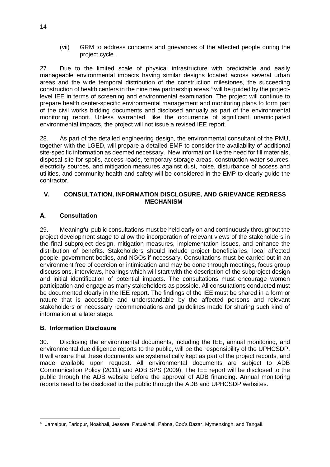(vii) GRM to address concerns and grievances of the affected people during the project cycle.

27. Due to the limited scale of physical infrastructure with predictable and easily manageable environmental impacts having similar designs located across several urban areas and the wide temporal distribution of the construction milestones, the succeeding construction of health centers in the nine new partnership areas, <sup>4</sup> will be guided by the projectlevel IEE in terms of screening and environmental examination. The project will continue to prepare health center-specific environmental management and monitoring plans to form part of the civil works bidding documents and disclosed annually as part of the environmental monitoring report. Unless warranted, like the occurrence of significant unanticipated environmental impacts, the project will not issue a revised IEE report.

28. As part of the detailed engineering design, the environmental consultant of the PMU, together with the LGED, will prepare a detailed EMP to consider the availability of additional site-specific information as deemed necessary. New information like the need for fill materials, disposal site for spoils, access roads, temporary storage areas, construction water sources, electricity sources, and mitigation measures against dust, noise, disturbance of access and utilities, and community health and safety will be considered in the EMP to clearly guide the contractor.

#### <span id="page-19-0"></span>**V. CONSULTATION, INFORMATION DISCLOSURE, AND GRIEVANCE REDRESS MECHANISM**

## <span id="page-19-1"></span>A. Consultation

29. Meaningful public consultations must be held early on and continuously throughout the project development stage to allow the incorporation of relevant views of the stakeholders in the final subproject design, mitigation measures, implementation issues, and enhance the distribution of benefits. Stakeholders should include project beneficiaries, local affected people, government bodies, and NGOs if necessary. Consultations must be carried out in an environment free of coercion or intimidation and may be done through meetings, focus group discussions, interviews, hearings which will start with the description of the subproject design and initial identification of potential impacts. The consultations must encourage women participation and engage as many stakeholders as possible. All consultations conducted must be documented clearly in the IEE report. The findings of the IEE must be shared in a form or nature that is accessible and understandable by the affected persons and relevant stakeholders or necessary recommendations and guidelines made for sharing such kind of information at a later stage.

## <span id="page-19-2"></span>B. Information Disclosure

30. Disclosing the environmental documents, including the IEE, annual monitoring, and environmental due diligence reports to the public, will be the responsibility of the UPHCSDP. It will ensure that these documents are systematically kept as part of the project records, and made available upon request. All environmental documents are subject to ADB Communication Policy (2011) and ADB SPS (2009). The IEE report will be disclosed to the public through the ADB website before the approval of ADB financing. Annual monitoring reports need to be disclosed to the public through the ADB and UPHCSDP websites.

**<sup>.</sup>** <sup>4</sup> Jamalpur, Faridpur, Noakhali, Jessore, Patuakhali, Pabna, Cox's Bazar, Mymensingh, and Tangail.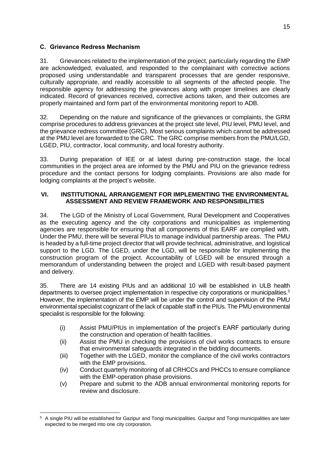# <span id="page-20-0"></span>C. Grievance Redress Mechanism

31. Grievances related to the implementation of the project, particularly regarding the EMP are acknowledged, evaluated, and responded to the complainant with corrective actions proposed using understandable and transparent processes that are gender responsive, culturally appropriate, and readily accessible to all segments of the affected people. The responsible agency for addressing the grievances along with proper timelines are clearly indicated. Record of grievances received, corrective actions taken, and their outcomes are properly maintained and form part of the environmental monitoring report to ADB.

32. Depending on the nature and significance of the grievances or complaints, the GRM comprise procedures to address grievances at the project site level, PIU level, PMU level, and the grievance redress committee (GRC). Most serious complaints which cannot be addressed at the PMU level are forwarded to the GRC. The GRC comprise members from the PMU/LGD, LGED, PIU, contractor, local community, and local forestry authority.

33. During preparation of IEE or at latest during pre-construction stage, the local communities in the project area are informed by the PMU and PIU on the grievance redress procedure and the contact persons for lodging complaints. Provisions are also made for lodging complaints at the project's website.

## <span id="page-20-1"></span>**VI. INSTITUTIONAL ARRANGEMENT FOR IMPLEMENTING THE ENVIRONMENTAL ASSESSMENT AND REVIEW FRAMEWORK AND RESPONSIBILITIES**

34. The LGD of the Ministry of Local Government, Rural Development and Cooperatives as the executing agency and the city corporations and municipalities as implementing agencies are responsible for ensuring that all components of this EARF are complied with. Under the PMU, there will be several PIUs to manage individual partnership areas. The PMU is headed by a full-time project director that will provide technical, administrative, and logistical support to the LGD. The LGED, under the LGD, will be responsible for implementing the construction program of the project. Accountability of LGED will be ensured through a memorandum of understanding between the project and LGED with result-based payment and delivery.

35. There are 14 existing PIUs and an additional 10 will be established in ULB health departments to oversee project implementation in respective city corporations or municipalities.<sup>5</sup> However, the implementation of the EMP will be under the control and supervision of the PMU environmental specialist cognizant of the lack of capable staff in the PIUs. The PMU environmental specialist is responsible for the following:

- (i) Assist PMU/PIUs in implementation of the project's EARF particularly during the construction and operation of health facilities.
- (ii) Assist the PMU in checking the provisions of civil works contracts to ensure that environmental safeguards integrated in the bidding documents.
- (iii) Together with the LGED, monitor the compliance of the civil works contractors with the EMP provisions.
- (iv) Conduct quarterly monitoring of all CRHCCs and PHCCs to ensure compliance with the EMP-operation phase provisions.
- (v) Prepare and submit to the ADB annual environmental monitoring reports for review and disclosure.

<sup>-</sup><sup>5</sup> A single PIU will be established for Gazipur and Tongi municipalities. Gazipur and Tongi municipalities are later expected to be merged into one city corporation.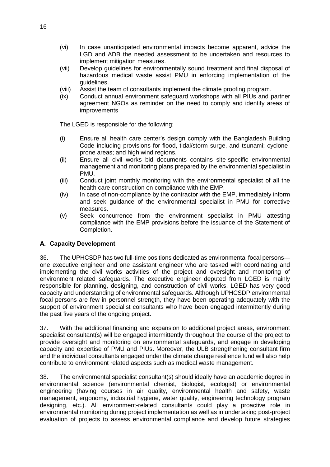- (vi) In case unanticipated environmental impacts become apparent, advice the LGD and ADB the needed assessment to be undertaken and resources to implement mitigation measures.
- (vii) Develop guidelines for environmentally sound treatment and final disposal of hazardous medical waste assist PMU in enforcing implementation of the guidelines.
- (viii) Assist the team of consultants implement the climate proofing program.
- (ix) Conduct annual environment safeguard workshops with all PIUs and partner agreement NGOs as reminder on the need to comply and identify areas of improvements

The LGED is responsible for the following:

- (i) Ensure all health care center's design comply with the Bangladesh Building Code including provisions for flood, tidal/storm surge, and tsunami; cycloneprone areas; and high wind regions.
- (ii) Ensure all civil works bid documents contains site-specific environmental management and monitoring plans prepared by the environmental specialist in PMU.
- (iii) Conduct joint monthly monitoring with the environmental specialist of all the health care construction on compliance with the EMP.
- (iv) In case of non-compliance by the contractor with the EMP, immediately inform and seek guidance of the environmental specialist in PMU for corrective measures.
- (v) Seek concurrence from the environment specialist in PMU attesting compliance with the EMP provisions before the issuance of the Statement of Completion.

#### <span id="page-21-0"></span>A. Capacity Development

36. The UPHCSDP has two full-time positions dedicated as environmental focal persons one executive engineer and one assistant engineer who are tasked with coordinating and implementing the civil works activities of the project and oversight and monitoring of environment related safeguards. The executive engineer deputed from LGED is mainly responsible for planning, designing, and construction of civil works. LGED has very good capacity and understanding of environmental safeguards. Although UPHCSDP environmental focal persons are few in personnel strength, they have been operating adequately with the support of environment specialist consultants who have been engaged intermittently during the past five years of the ongoing project.

37. With the additional financing and expansion to additional project areas, environment specialist consultant(s) will be engaged intermittently throughout the course of the project to provide oversight and monitoring on environmental safeguards, and engage in developing capacity and expertise of PMU and PIUs. Moreover, the ULB strengthening consultant firm and the individual consultants engaged under the climate change resilience fund will also help contribute to environment related aspects such as medical waste management.

38. The environmental specialist consultant(s) should ideally have an academic degree in environmental science (environmental chemist, biologist, ecologist) or environmental engineering (having courses in air quality, environmental health and safety, waste management, ergonomy, industrial hygiene, water quality, engineering technology program designing, etc.). All environment-related consultants could play a proactive role in environmental monitoring during project implementation as well as in undertaking post-project evaluation of projects to assess environmental compliance and develop future strategies